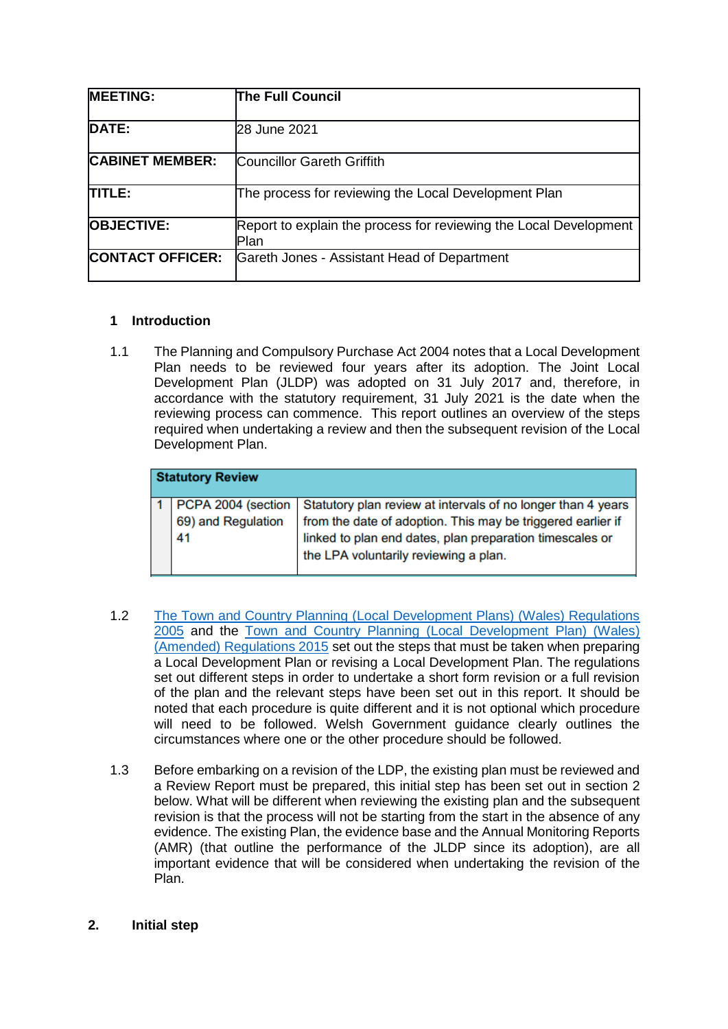| <b>MEETING:</b>         | <b>The Full Council</b>                                                   |
|-------------------------|---------------------------------------------------------------------------|
| DATE:                   | 28 June 2021                                                              |
| <b>CABINET MEMBER:</b>  | Councillor Gareth Griffith                                                |
| <b>TITLE:</b>           | The process for reviewing the Local Development Plan                      |
| <b>OBJECTIVE:</b>       | Report to explain the process for reviewing the Local Development<br>Plan |
| <b>CONTACT OFFICER:</b> | Gareth Jones - Assistant Head of Department                               |

## **1 Introduction**

1.1 The Planning and Compulsory Purchase Act 2004 notes that a Local Development Plan needs to be reviewed four years after its adoption. The Joint Local Development Plan (JLDP) was adopted on 31 July 2017 and, therefore, in accordance with the statutory requirement, 31 July 2021 is the date when the reviewing process can commence. This report outlines an overview of the steps required when undertaking a review and then the subsequent revision of the Local Development Plan.

| <b>Statutory Review</b> |                          |                                                                                                                                                                                                                                                       |  |  |  |
|-------------------------|--------------------------|-------------------------------------------------------------------------------------------------------------------------------------------------------------------------------------------------------------------------------------------------------|--|--|--|
|                         | 69) and Regulation<br>41 | PCPA 2004 (section   Statutory plan review at intervals of no longer than 4 years<br>from the date of adoption. This may be triggered earlier if<br>linked to plan end dates, plan preparation timescales or<br>the LPA voluntarily reviewing a plan. |  |  |  |

- 1.2 [The Town and Country Planning \(Local Development Plans\) \(Wales\) Regulations](https://www.legislation.gov.uk/wsi/2005/2839/contents/made)  [2005](https://www.legislation.gov.uk/wsi/2005/2839/contents/made) and the [Town and Country Planning \(Local Development Plan\) \(Wales\)](https://www.legislation.gov.uk/wsi/2015/1598/made)  [\(Amended\) Regulations 2015](https://www.legislation.gov.uk/wsi/2015/1598/made) set out the steps that must be taken when preparing a Local Development Plan or revising a Local Development Plan. The regulations set out different steps in order to undertake a short form revision or a full revision of the plan and the relevant steps have been set out in this report. It should be noted that each procedure is quite different and it is not optional which procedure will need to be followed. Welsh Government guidance clearly outlines the circumstances where one or the other procedure should be followed.
- 1.3 Before embarking on a revision of the LDP, the existing plan must be reviewed and a Review Report must be prepared, this initial step has been set out in section 2 below. What will be different when reviewing the existing plan and the subsequent revision is that the process will not be starting from the start in the absence of any evidence. The existing Plan, the evidence base and the Annual Monitoring Reports (AMR) (that outline the performance of the JLDP since its adoption), are all important evidence that will be considered when undertaking the revision of the Plan.

## **2. Initial step**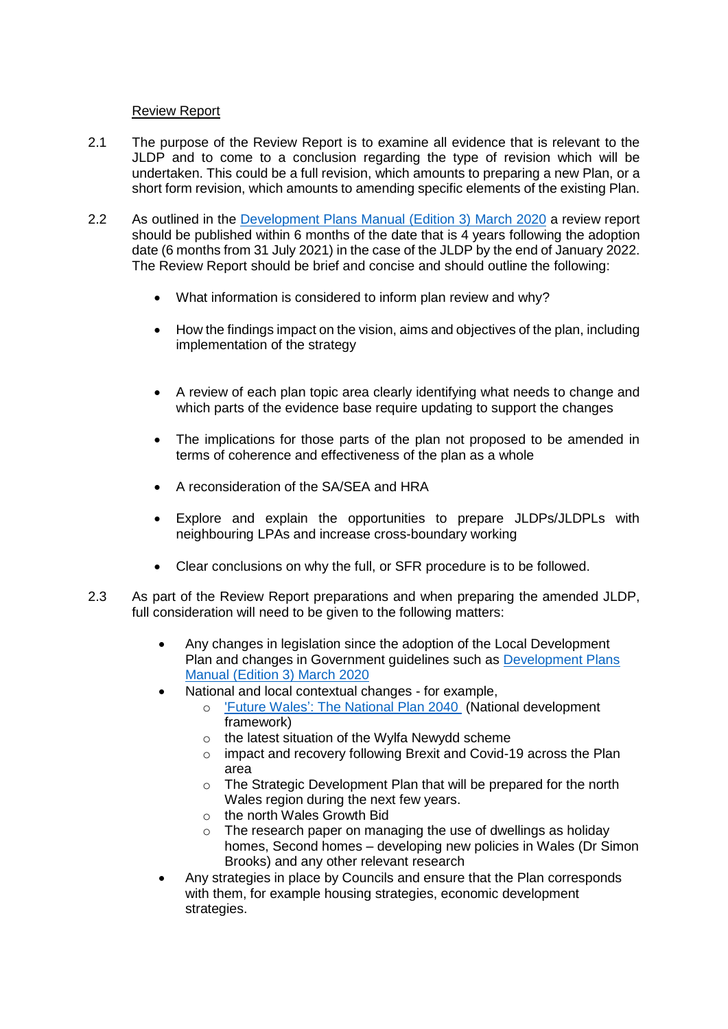## Review Report

- 2.1 The purpose of the Review Report is to examine all evidence that is relevant to the JLDP and to come to a conclusion regarding the type of revision which will be undertaken. This could be a full revision, which amounts to preparing a new Plan, or a short form revision, which amounts to amending specific elements of the existing Plan.
- 2.2 As outlined in the [Development Plans Manual \(Edition 3\) March 2020](https://gov.wales/sites/default/files/publications/2020-03/development-plans-manual-edition-3-march-2020.pdf) a review report should be published within 6 months of the date that is 4 years following the adoption date (6 months from 31 July 2021) in the case of the JLDP by the end of January 2022. The Review Report should be brief and concise and should outline the following:
	- What information is considered to inform plan review and why?
	- How the findings impact on the vision, aims and objectives of the plan, including implementation of the strategy
	- A review of each plan topic area clearly identifying what needs to change and which parts of the evidence base require updating to support the changes
	- The implications for those parts of the plan not proposed to be amended in terms of coherence and effectiveness of the plan as a whole
	- A reconsideration of the SA/SEA and HRA
	- Explore and explain the opportunities to prepare JLDPs/JLDPLs with neighbouring LPAs and increase cross-boundary working
	- Clear conclusions on why the full, or SFR procedure is to be followed.
- 2.3 As part of the Review Report preparations and when preparing the amended JLDP, full consideration will need to be given to the following matters:
	- Any changes in legislation since the adoption of the Local Development Plan and changes in Government guidelines such as [Development Plans](https://gov.wales/sites/default/files/publications/2020-03/development-plans-manual-edition-3-march-2020.pdf)  [Manual \(Edition 3\) March 2020](https://gov.wales/sites/default/files/publications/2020-03/development-plans-manual-edition-3-march-2020.pdf)
	- National and local contextual changes for example,
		- o ['Future Wales': The National Plan 2040](https://gov.wales/sites/default/files/publications/2021-02/future-wales-the-national-plan-2040.pdf) (National development framework)
		- o the latest situation of the Wylfa Newydd scheme
		- o impact and recovery following Brexit and Covid-19 across the Plan area
		- o The Strategic Development Plan that will be prepared for the north Wales region during the next few years.
		- o the north Wales Growth Bid
		- $\circ$  The research paper on managing the use of dwellings as holiday homes, Second homes – developing new policies in Wales (Dr Simon Brooks) and any other relevant research
	- Any strategies in place by Councils and ensure that the Plan corresponds with them, for example housing strategies, economic development strategies.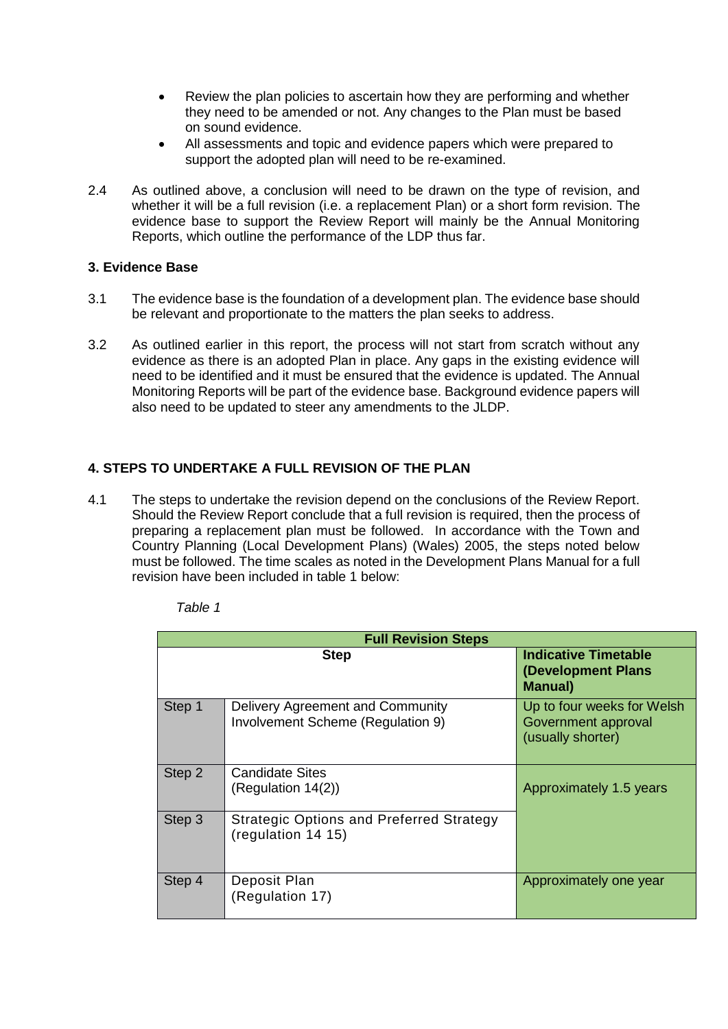- Review the plan policies to ascertain how they are performing and whether they need to be amended or not. Any changes to the Plan must be based on sound evidence.
- All assessments and topic and evidence papers which were prepared to support the adopted plan will need to be re-examined.
- 2.4 As outlined above, a conclusion will need to be drawn on the type of revision, and whether it will be a full revision (i.e. a replacement Plan) or a short form revision. The evidence base to support the Review Report will mainly be the Annual Monitoring Reports, which outline the performance of the LDP thus far.

## **3. Evidence Base**

- 3.1 The evidence base is the foundation of a development plan. The evidence base should be relevant and proportionate to the matters the plan seeks to address.
- 3.2 As outlined earlier in this report, the process will not start from scratch without any evidence as there is an adopted Plan in place. Any gaps in the existing evidence will need to be identified and it must be ensured that the evidence is updated. The Annual Monitoring Reports will be part of the evidence base. Background evidence papers will also need to be updated to steer any amendments to the JLDP.

# **4. STEPS TO UNDERTAKE A FULL REVISION OF THE PLAN**

4.1 The steps to undertake the revision depend on the conclusions of the Review Report. Should the Review Report conclude that a full revision is required, then the process of preparing a replacement plan must be followed. In accordance with the Town and Country Planning (Local Development Plans) (Wales) 2005, the steps noted below must be followed. The time scales as noted in the Development Plans Manual for a full revision have been included in table 1 below:

| <b>Full Revision Steps</b> |                                                                       |                                                                        |  |  |
|----------------------------|-----------------------------------------------------------------------|------------------------------------------------------------------------|--|--|
| <b>Step</b>                |                                                                       | <b>Indicative Timetable</b><br>(Development Plans<br><b>Manual</b> )   |  |  |
| Step 1                     | Delivery Agreement and Community<br>Involvement Scheme (Regulation 9) | Up to four weeks for Welsh<br>Government approval<br>(usually shorter) |  |  |
| Step 2                     | <b>Candidate Sites</b><br>(Regularion 14(2))                          | Approximately 1.5 years                                                |  |  |
| Step 3                     | <b>Strategic Options and Preferred Strategy</b><br>(regulation 14 15) |                                                                        |  |  |
| Step 4                     | Deposit Plan<br>(Regulation 17)                                       | Approximately one year                                                 |  |  |

*Table 1*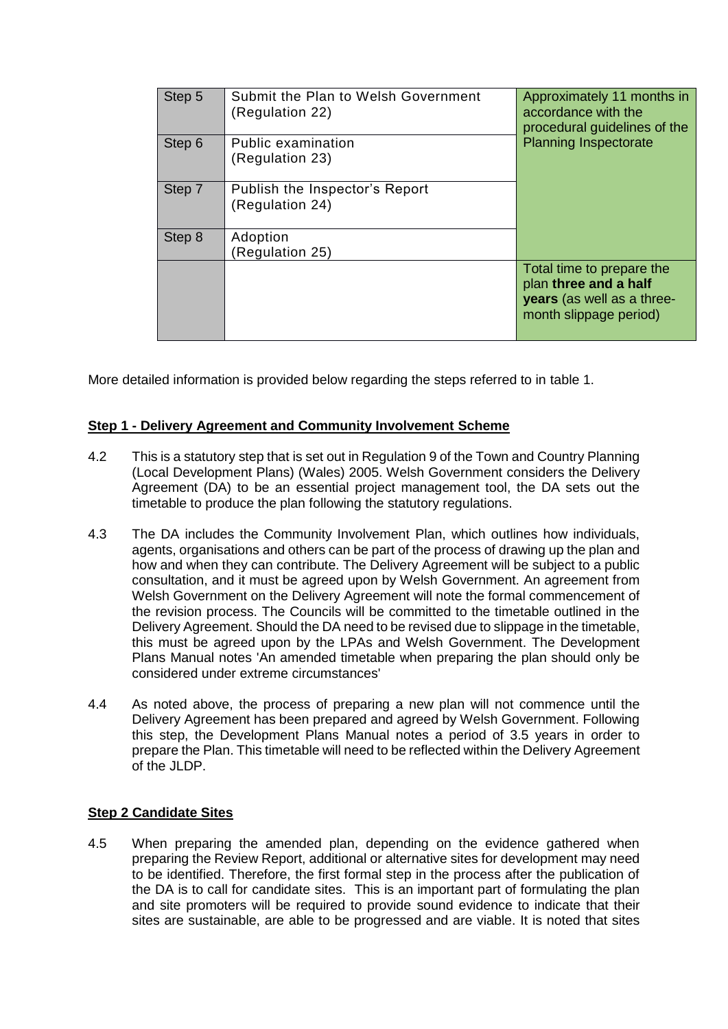| Step 5 | Submit the Plan to Welsh Government<br>(Regulation 22) | Approximately 11 months in<br>accordance with the<br>procedural guidelines of the                          |
|--------|--------------------------------------------------------|------------------------------------------------------------------------------------------------------------|
| Step 6 | Public examination<br>(Regulation 23)                  | <b>Planning Inspectorate</b>                                                                               |
| Step 7 | Publish the Inspector's Report<br>(Regulation 24)      |                                                                                                            |
| Step 8 | Adoption<br>Regulation 25)                             |                                                                                                            |
|        |                                                        | Total time to prepare the<br>plan three and a half<br>years (as well as a three-<br>month slippage period) |

More detailed information is provided below regarding the steps referred to in table 1.

## **Step 1 - Delivery Agreement and Community Involvement Scheme**

- 4.2 This is a statutory step that is set out in Regulation 9 of the Town and Country Planning (Local Development Plans) (Wales) 2005. Welsh Government considers the Delivery Agreement (DA) to be an essential project management tool, the DA sets out the timetable to produce the plan following the statutory regulations.
- 4.3 The DA includes the Community Involvement Plan, which outlines how individuals, agents, organisations and others can be part of the process of drawing up the plan and how and when they can contribute. The Delivery Agreement will be subject to a public consultation, and it must be agreed upon by Welsh Government. An agreement from Welsh Government on the Delivery Agreement will note the formal commencement of the revision process. The Councils will be committed to the timetable outlined in the Delivery Agreement. Should the DA need to be revised due to slippage in the timetable, this must be agreed upon by the LPAs and Welsh Government. The Development Plans Manual notes 'An amended timetable when preparing the plan should only be considered under extreme circumstances'
- 4.4 As noted above, the process of preparing a new plan will not commence until the Delivery Agreement has been prepared and agreed by Welsh Government. Following this step, the Development Plans Manual notes a period of 3.5 years in order to prepare the Plan. This timetable will need to be reflected within the Delivery Agreement of the JLDP.

## **Step 2 Candidate Sites**

4.5 When preparing the amended plan, depending on the evidence gathered when preparing the Review Report, additional or alternative sites for development may need to be identified. Therefore, the first formal step in the process after the publication of the DA is to call for candidate sites. This is an important part of formulating the plan and site promoters will be required to provide sound evidence to indicate that their sites are sustainable, are able to be progressed and are viable. It is noted that sites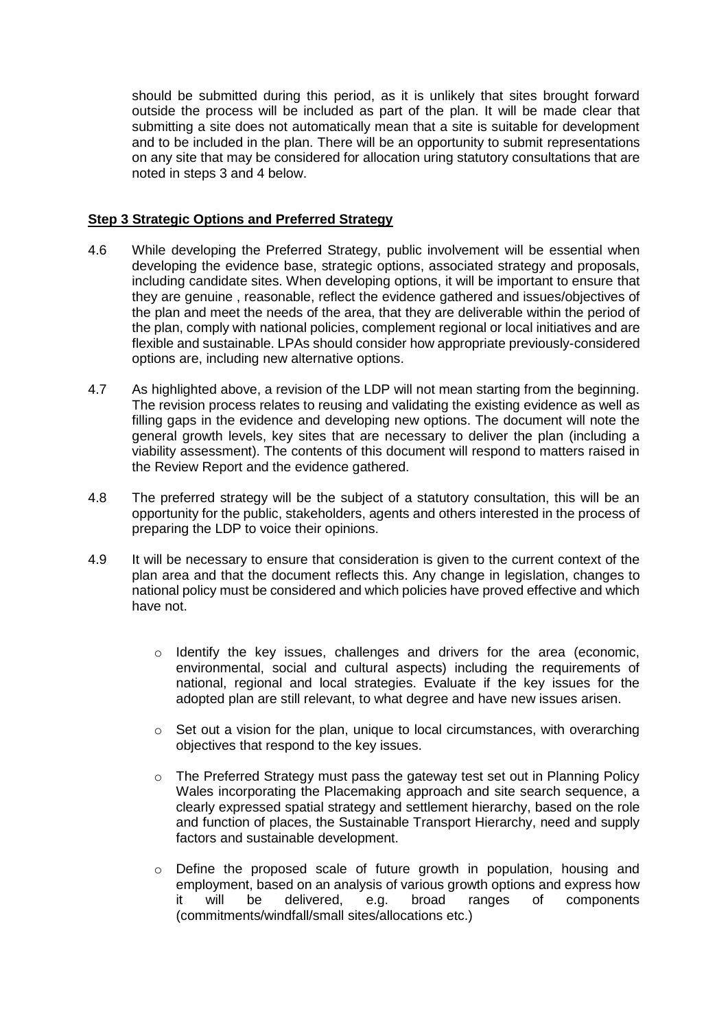should be submitted during this period, as it is unlikely that sites brought forward outside the process will be included as part of the plan. It will be made clear that submitting a site does not automatically mean that a site is suitable for development and to be included in the plan. There will be an opportunity to submit representations on any site that may be considered for allocation uring statutory consultations that are noted in steps 3 and 4 below.

## **Step 3 Strategic Options and Preferred Strategy**

- 4.6 While developing the Preferred Strategy, public involvement will be essential when developing the evidence base, strategic options, associated strategy and proposals, including candidate sites. When developing options, it will be important to ensure that they are genuine , reasonable, reflect the evidence gathered and issues/objectives of the plan and meet the needs of the area, that they are deliverable within the period of the plan, comply with national policies, complement regional or local initiatives and are flexible and sustainable. LPAs should consider how appropriate previously-considered options are, including new alternative options.
- 4.7 As highlighted above, a revision of the LDP will not mean starting from the beginning. The revision process relates to reusing and validating the existing evidence as well as filling gaps in the evidence and developing new options. The document will note the general growth levels, key sites that are necessary to deliver the plan (including a viability assessment). The contents of this document will respond to matters raised in the Review Report and the evidence gathered.
- 4.8 The preferred strategy will be the subject of a statutory consultation, this will be an opportunity for the public, stakeholders, agents and others interested in the process of preparing the LDP to voice their opinions.
- 4.9 It will be necessary to ensure that consideration is given to the current context of the plan area and that the document reflects this. Any change in legislation, changes to national policy must be considered and which policies have proved effective and which have not.
	- o Identify the key issues, challenges and drivers for the area (economic, environmental, social and cultural aspects) including the requirements of national, regional and local strategies. Evaluate if the key issues for the adopted plan are still relevant, to what degree and have new issues arisen.
	- $\circ$  Set out a vision for the plan, unique to local circumstances, with overarching objectives that respond to the key issues.
	- o The Preferred Strategy must pass the gateway test set out in Planning Policy Wales incorporating the Placemaking approach and site search sequence, a clearly expressed spatial strategy and settlement hierarchy, based on the role and function of places, the Sustainable Transport Hierarchy, need and supply factors and sustainable development.
	- o Define the proposed scale of future growth in population, housing and employment, based on an analysis of various growth options and express how it will be delivered, e.g. broad ranges of components (commitments/windfall/small sites/allocations etc.)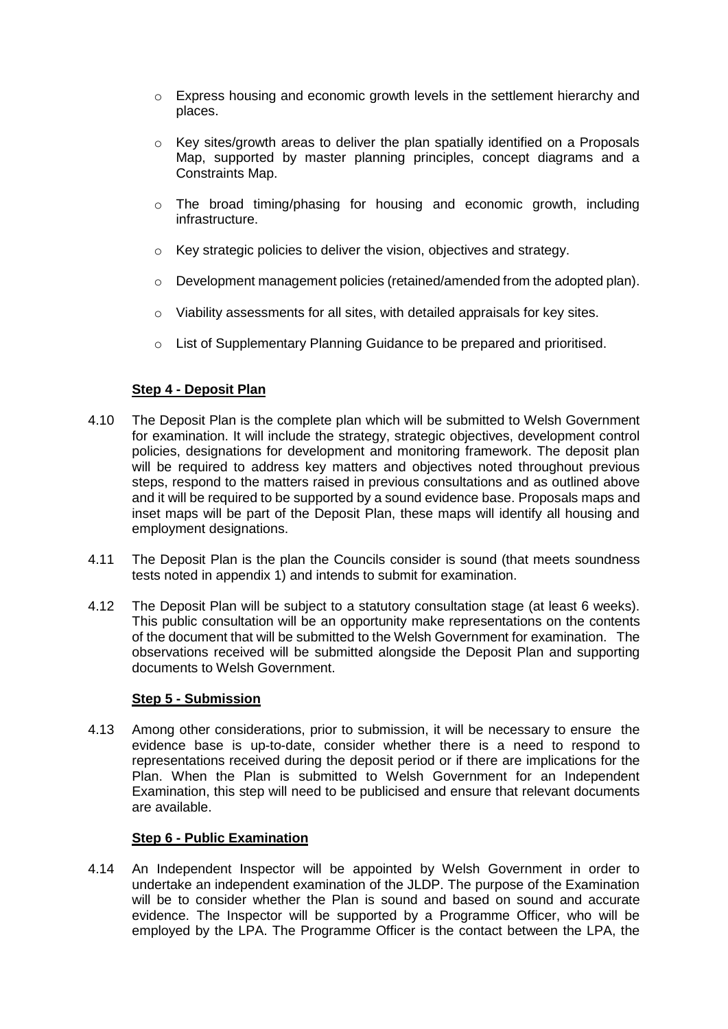- $\circ$  Express housing and economic growth levels in the settlement hierarchy and places.
- o Key sites/growth areas to deliver the plan spatially identified on a Proposals Map, supported by master planning principles, concept diagrams and a Constraints Map.
- o The broad timing/phasing for housing and economic growth, including infrastructure.
- o Key strategic policies to deliver the vision, objectives and strategy.
- $\circ$  Development management policies (retained/amended from the adopted plan).
- $\circ$  Viability assessments for all sites, with detailed appraisals for key sites.
- o List of Supplementary Planning Guidance to be prepared and prioritised.

## **Step 4 - Deposit Plan**

- 4.10 The Deposit Plan is the complete plan which will be submitted to Welsh Government for examination. It will include the strategy, strategic objectives, development control policies, designations for development and monitoring framework. The deposit plan will be required to address key matters and objectives noted throughout previous steps, respond to the matters raised in previous consultations and as outlined above and it will be required to be supported by a sound evidence base. Proposals maps and inset maps will be part of the Deposit Plan, these maps will identify all housing and employment designations.
- 4.11 The Deposit Plan is the plan the Councils consider is sound (that meets soundness tests noted in appendix 1) and intends to submit for examination.
- 4.12 The Deposit Plan will be subject to a statutory consultation stage (at least 6 weeks). This public consultation will be an opportunity make representations on the contents of the document that will be submitted to the Welsh Government for examination. The observations received will be submitted alongside the Deposit Plan and supporting documents to Welsh Government.

## **Step 5 - Submission**

4.13 Among other considerations, prior to submission, it will be necessary to ensure the evidence base is up-to-date, consider whether there is a need to respond to representations received during the deposit period or if there are implications for the Plan. When the Plan is submitted to Welsh Government for an Independent Examination, this step will need to be publicised and ensure that relevant documents are available.

## **Step 6 - Public Examination**

4.14 An Independent Inspector will be appointed by Welsh Government in order to undertake an independent examination of the JLDP. The purpose of the Examination will be to consider whether the Plan is sound and based on sound and accurate evidence. The Inspector will be supported by a Programme Officer, who will be employed by the LPA. The Programme Officer is the contact between the LPA, the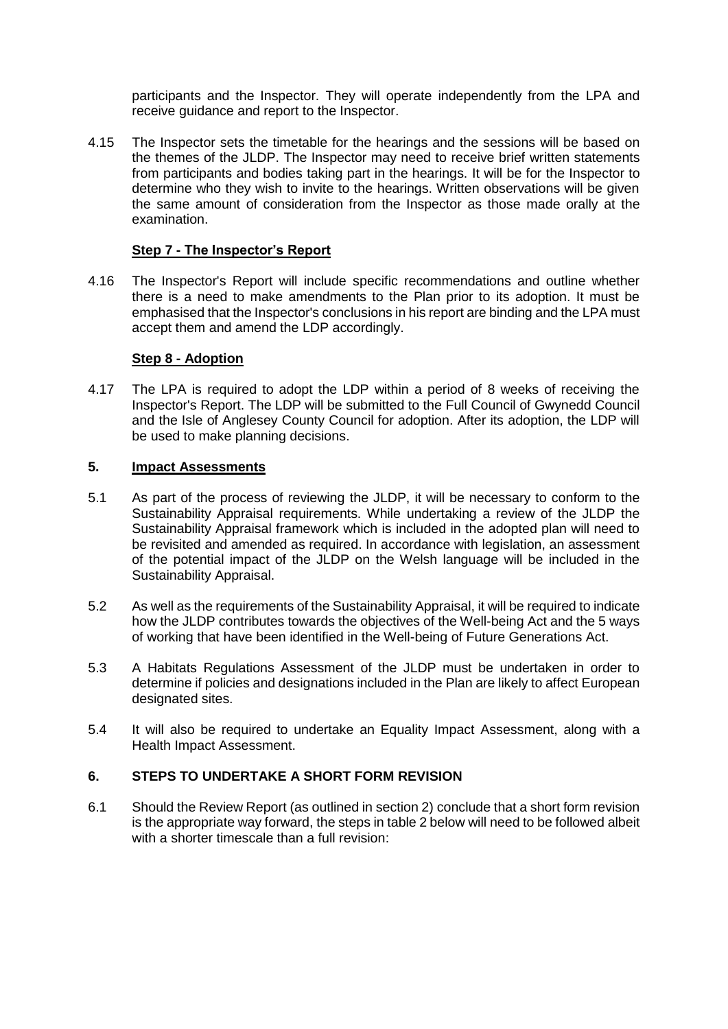participants and the Inspector. They will operate independently from the LPA and receive guidance and report to the Inspector.

4.15 The Inspector sets the timetable for the hearings and the sessions will be based on the themes of the JLDP. The Inspector may need to receive brief written statements from participants and bodies taking part in the hearings. It will be for the Inspector to determine who they wish to invite to the hearings. Written observations will be given the same amount of consideration from the Inspector as those made orally at the examination.

## **Step 7 - The Inspector's Report**

4.16 The Inspector's Report will include specific recommendations and outline whether there is a need to make amendments to the Plan prior to its adoption. It must be emphasised that the Inspector's conclusions in his report are binding and the LPA must accept them and amend the LDP accordingly.

## **Step 8 - Adoption**

4.17 The LPA is required to adopt the LDP within a period of 8 weeks of receiving the Inspector's Report. The LDP will be submitted to the Full Council of Gwynedd Council and the Isle of Anglesey County Council for adoption. After its adoption, the LDP will be used to make planning decisions.

## **5. Impact Assessments**

- 5.1 As part of the process of reviewing the JLDP, it will be necessary to conform to the Sustainability Appraisal requirements. While undertaking a review of the JLDP the Sustainability Appraisal framework which is included in the adopted plan will need to be revisited and amended as required. In accordance with legislation, an assessment of the potential impact of the JLDP on the Welsh language will be included in the Sustainability Appraisal.
- 5.2 As well as the requirements of the Sustainability Appraisal, it will be required to indicate how the JLDP contributes towards the objectives of the Well-being Act and the 5 ways of working that have been identified in the Well-being of Future Generations Act.
- 5.3 A Habitats Regulations Assessment of the JLDP must be undertaken in order to determine if policies and designations included in the Plan are likely to affect European designated sites.
- 5.4 It will also be required to undertake an Equality Impact Assessment, along with a Health Impact Assessment.

# **6. STEPS TO UNDERTAKE A SHORT FORM REVISION**

6.1 Should the Review Report (as outlined in section 2) conclude that a short form revision is the appropriate way forward, the steps in table 2 below will need to be followed albeit with a shorter timescale than a full revision: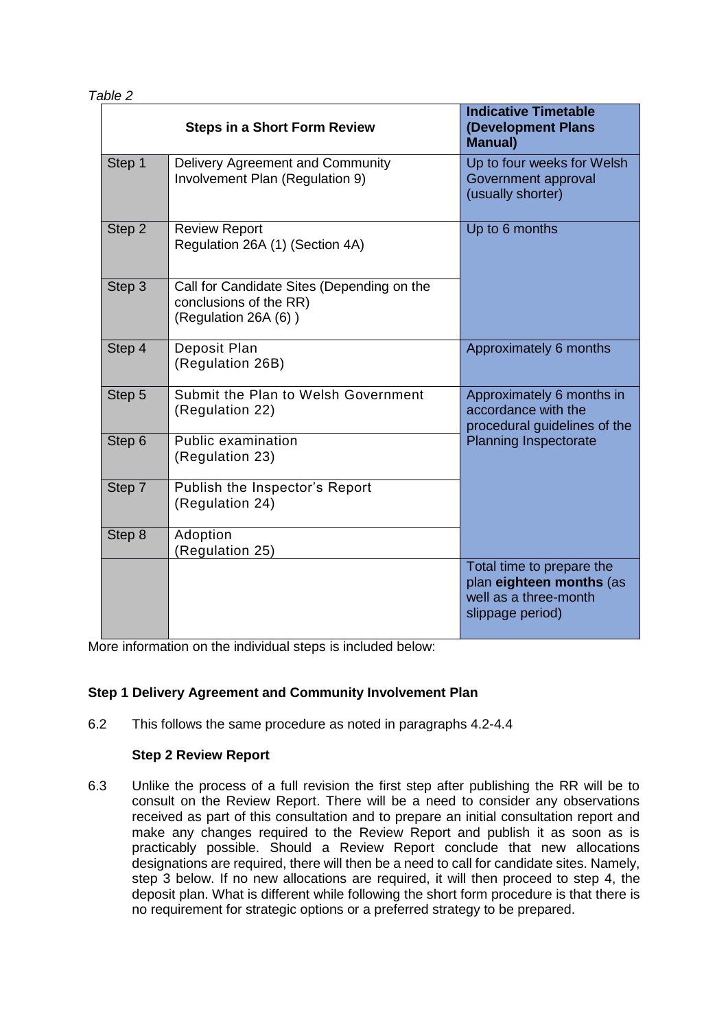| <b>Steps in a Short Form Review</b> |        |                                                                                              | <b>Indicative Timetable</b><br>(Development Plans<br><b>Manual</b> )                               |  |
|-------------------------------------|--------|----------------------------------------------------------------------------------------------|----------------------------------------------------------------------------------------------------|--|
|                                     | Step 1 | Delivery Agreement and Community<br>Involvement Plan (Regulation 9)                          | Up to four weeks for Welsh<br>Government approval<br>(usually shorter)                             |  |
|                                     | Step 2 | <b>Review Report</b><br>Regulation 26A (1) (Section 4A)                                      | Up to 6 months                                                                                     |  |
|                                     | Step 3 | Call for Candidate Sites (Depending on the<br>conclusions of the RR)<br>(Regulation 26A (6)) |                                                                                                    |  |
|                                     | Step 4 | Deposit Plan<br>(Regulation 26B)                                                             | Approximately 6 months                                                                             |  |
|                                     | Step 5 | Submit the Plan to Welsh Government<br>(Regulation 22)                                       | Approximately 6 months in<br>accordance with the<br>procedural guidelines of the                   |  |
|                                     | Step 6 | Public examination<br>(Regulation 23)                                                        | <b>Planning Inspectorate</b>                                                                       |  |
|                                     | Step 7 | Publish the Inspector's Report<br>(Regulation 24)                                            |                                                                                                    |  |
|                                     | Step 8 | Adoption<br>(Regulation 25)                                                                  |                                                                                                    |  |
|                                     |        |                                                                                              | Total time to prepare the<br>plan eighteen months (as<br>well as a three-month<br>slippage period) |  |

More information on the individual steps is included below:

## **Step 1 Delivery Agreement and Community Involvement Plan**

6.2 This follows the same procedure as noted in paragraphs 4.2-4.4

## **Step 2 Review Report**

6.3 Unlike the process of a full revision the first step after publishing the RR will be to consult on the Review Report. There will be a need to consider any observations received as part of this consultation and to prepare an initial consultation report and make any changes required to the Review Report and publish it as soon as is practicably possible. Should a Review Report conclude that new allocations designations are required, there will then be a need to call for candidate sites. Namely, step 3 below. If no new allocations are required, it will then proceed to step 4, the deposit plan. What is different while following the short form procedure is that there is no requirement for strategic options or a preferred strategy to be prepared.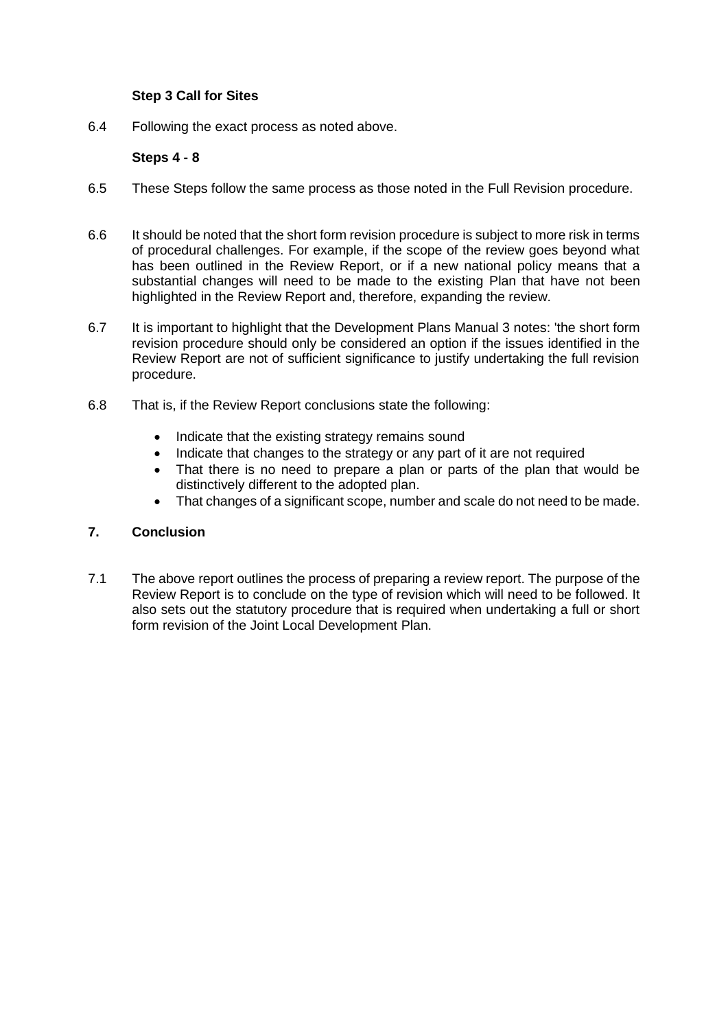## **Step 3 Call for Sites**

6.4 Following the exact process as noted above.

## **Steps 4 - 8**

- 6.5 These Steps follow the same process as those noted in the Full Revision procedure.
- 6.6 It should be noted that the short form revision procedure is subject to more risk in terms of procedural challenges. For example, if the scope of the review goes beyond what has been outlined in the Review Report, or if a new national policy means that a substantial changes will need to be made to the existing Plan that have not been highlighted in the Review Report and, therefore, expanding the review.
- 6.7 It is important to highlight that the Development Plans Manual 3 notes: 'the short form revision procedure should only be considered an option if the issues identified in the Review Report are not of sufficient significance to justify undertaking the full revision procedure.
- 6.8 That is, if the Review Report conclusions state the following:
	- Indicate that the existing strategy remains sound
	- Indicate that changes to the strategy or any part of it are not required
	- That there is no need to prepare a plan or parts of the plan that would be distinctively different to the adopted plan.
	- That changes of a significant scope, number and scale do not need to be made.

## **7. Conclusion**

7.1 The above report outlines the process of preparing a review report. The purpose of the Review Report is to conclude on the type of revision which will need to be followed. It also sets out the statutory procedure that is required when undertaking a full or short form revision of the Joint Local Development Plan.